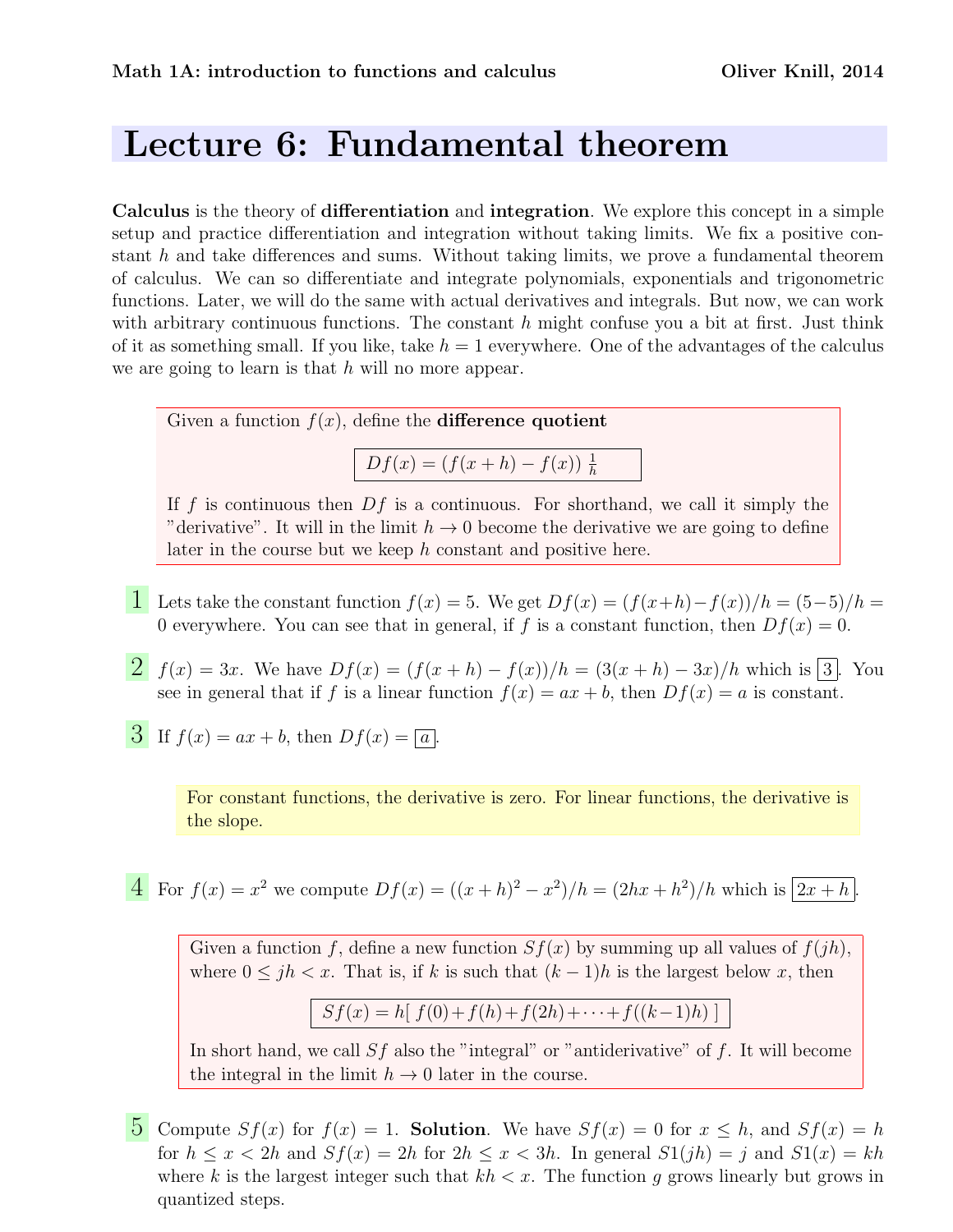## Lecture 6: Fundamental theorem

Calculus is the theory of differentiation and integration. We explore this concept in a simple setup and practice differentiation and integration without taking limits. We fix a positive constant h and take differences and sums. Without taking limits, we prove a fundamental theorem of calculus. We can so differentiate and integrate polynomials, exponentials and trigonometric functions. Later, we will do the same with actual derivatives and integrals. But now, we can work with arbitrary continuous functions. The constant  $h$  might confuse you a bit at first. Just think of it as something small. If you like, take  $h = 1$  everywhere. One of the advantages of the calculus we are going to learn is that  $h$  will no more appear.

Given a function  $f(x)$ , define the **difference quotient** 

 $Df(x) = (f(x+h) - f(x)) \frac{1}{h}$ 

If f is continuous then  $Df$  is a continuous. For shorthand, we call it simply the "derivative". It will in the limit  $h \to 0$  become the derivative we are going to define later in the course but we keep h constant and positive here.

- 1 Lets take the constant function  $f(x) = 5$ . We get  $Df(x) = (f(x+h)-f(x))/h = (5-5)/h$ 0 everywhere. You can see that in general, if f is a constant function, then  $Df(x) = 0$ .
- 2  $f(x) = 3x$ . We have  $Df(x) = (f(x+h) f(x))/h = (3(x+h) 3x)/h$  which is 3. You see in general that if f is a linear function  $f(x) = ax + b$ , then  $Df(x) = a$  is constant.
- 3 If  $f(x) = ax + b$ , then  $Df(x) = \sqrt{a}$ .

For constant functions, the derivative is zero. For linear functions, the derivative is the slope.

4 For 
$$
f(x) = x^2
$$
 we compute  $Df(x) = ((x + h)^2 - x^2)/h = (2hx + h^2)/h$  which is  $2x + h$ .

Given a function f, define a new function  $Sf(x)$  by summing up all values of  $f(jh)$ , where  $0 \leq jh < x$ . That is, if k is such that  $(k-1)h$  is the largest below x, then

$$
Sf(x) = h[f(0) + f(h) + f(2h) + \cdots + f((k-1)h)]
$$

In short hand, we call  $Sf$  also the "integral" or "antiderivative" of f. It will become the integral in the limit  $h \to 0$  later in the course.

5 Compute  $Sf(x)$  for  $f(x) = 1$ . Solution. We have  $Sf(x) = 0$  for  $x \le h$ , and  $Sf(x) = h$ . for  $h \leq x \leq 2h$  and  $Sf(x) = 2h$  for  $2h \leq x \leq 3h$ . In general  $S1(jh) = j$  and  $S1(x) = kh$ where k is the largest integer such that  $kh < x$ . The function g grows linearly but grows in quantized steps.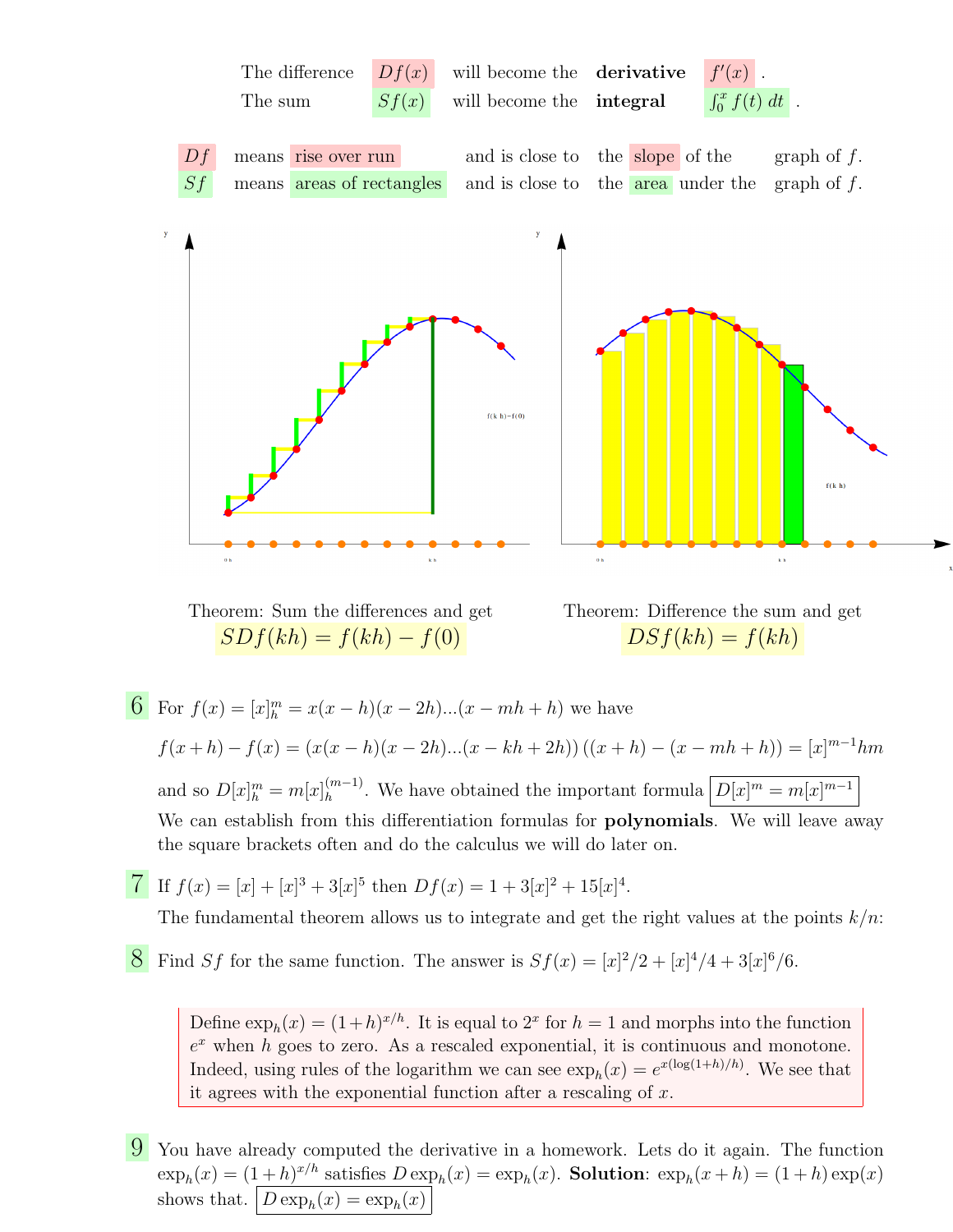

Theorem: Sum the differences and get  $SDf(kh) = f(kh) - f(0)$ 



6 For  $f(x) = [x]_h^m = x(x-h)(x-2h)...(x-mh+h)$  we have  $f(x+h) - f(x) = (x(x-h)(x-2h)...(x-kh+2h))((x+h)-(x-mh+h)) = [x]^{m-1}hm$ and so  $D[x]_h^m = m[x]_h^{(m-1)}$  $\binom{m-1}{h}$ . We have obtained the important formula  $\left|D[x]^m = m[x]^{m-1}\right|$ We can establish from this differentiation formulas for **polynomials**. We will leave away the square brackets often and do the calculus we will do later on.

*T* If  $f(x) = [x] + [x]^3 + 3[x]^5$  then  $Df(x) = 1 + 3[x]^2 + 15[x]^4$ .

The fundamental theorem allows us to integrate and get the right values at the points  $k/n$ :

**8** Find Sf for the same function. The answer is  $Sf(x) = [x]^2/2 + [x]^4/4 + 3[x]^6/6$ .

Define  $\exp_h(x) = (1+h)^{x/h}$ . It is equal to  $2^x$  for  $h = 1$  and morphs into the function  $e^x$  when h goes to zero. As a rescaled exponential, it is continuous and monotone. Indeed, using rules of the logarithm we can see  $\exp_h(x) = e^{x(\log(1+h)/h)}$ . We see that it agrees with the exponential function after a rescaling of x.

9 You have already computed the derivative in a homework. Lets do it again. The function  $\exp_h(x) = (1+h)^{x/h}$  satisfies  $D \exp_h(x) = \exp_h(x)$ . Solution:  $\exp_h(x+h) = (1+h) \exp(x)$ shows that.  $D \exp_h(x) = \exp_h(x)$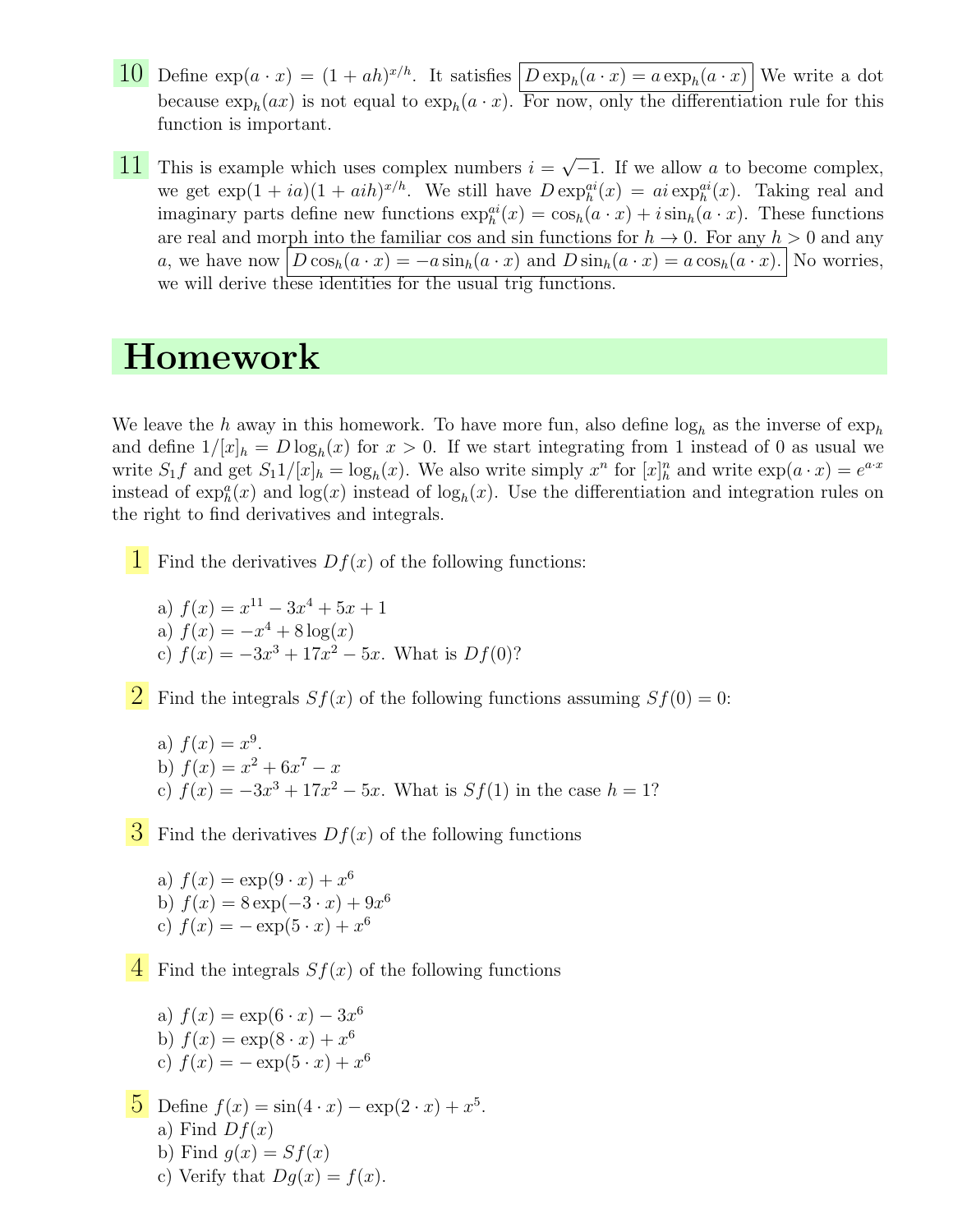- **10** Define  $\exp(a \cdot x) = (1 + ah)^{x/h}$ . It satisfies  $\boxed{D \exp_h(a \cdot x) = a \exp_h(a \cdot x)}$  We write a dot because  $\exp_h(ax)$  is not equal to  $\exp_h(a \cdot x)$ . For now, only the differentiation rule for this function is important.
- **11** This is example which uses complex numbers  $i = \sqrt{\frac{1}{i}}$  $\overline{-1}$ . If we allow a to become complex, we get  $\exp(1 + ia)(1 + aih)^{x/h}$ . We still have  $D \exp_h^{ai}(x) = ai \exp_h^{ai}(x)$ . Taking real and imaginary parts define new functions  $\exp_h^{ai}(x) = \cos_h(a \cdot x) + i \sin_h(a \cdot x)$ . These functions are real and morph into the familiar cos and sin functions for  $h \to 0$ . For any  $h > 0$  and any a, we have now  $D \cos_h(a \cdot x) = -a \sin_h(a \cdot x)$  and  $D \sin_h(a \cdot x) = a \cos_h(a \cdot x)$ . No worries, we will derive these identities for the usual trig functions.

## Homework

We leave the h away in this homework. To have more fun, also define  $log_h$  as the inverse of  $exp_h$ and define  $1/[x]_h = D \log_h(x)$  for  $x > 0$ . If we start integrating from 1 instead of 0 as usual we write  $S_1 f$  and get  $S_1 1/[x]_h = \log_h(x)$ . We also write simply  $x^n$  for  $[x]_h^n$  and write  $\exp(a \cdot x) = e^{a \cdot x}$ instead of  $\exp_h^a(x)$  and  $\log(x)$  instead of  $\log_h(x)$ . Use the differentiation and integration rules on the right to find derivatives and integrals.

**1** Find the derivatives  $Df(x)$  of the following functions:

a)  $f(x) = x^{11} - 3x^4 + 5x + 1$ a)  $f(x) = -x^4 + 8 \log(x)$ c)  $f(x) = -3x^3 + 17x^2 - 5x$ . What is  $Df(0)$ ?

**2** Find the integrals  $Sf(x)$  of the following functions assuming  $Sf(0) = 0$ :

a)  $f(x) = x^9$ . b)  $f(x) = x^2 + 6x^7 - x$ c)  $f(x) = -3x^3 + 17x^2 - 5x$ . What is  $Sf(1)$  in the case  $h = 1$ ?

 $\mathcal{S}$  Find the derivatives  $Df(x)$  of the following functions

a) 
$$
f(x) = \exp(9 \cdot x) + x^6
$$
  
b)  $f(x) = 8 \exp(-3 \cdot x) + 9x^6$   
c)  $f(x) = -\exp(5 \cdot x) + x^6$ 

 $\overline{4}$  Find the integrals  $Sf(x)$  of the following functions

a)  $f(x) = \exp(6 \cdot x) - 3x^6$ b)  $f(x) = \exp(8 \cdot x) + x^6$ c)  $f(x) = -\exp(5 \cdot x) + x^6$ 

5 Define  $f(x) = \sin(4 \cdot x) - \exp(2 \cdot x) + x^5$ . a) Find  $Df(x)$ b) Find  $q(x) = Sf(x)$ 

c) Verify that  $Dq(x) = f(x)$ .